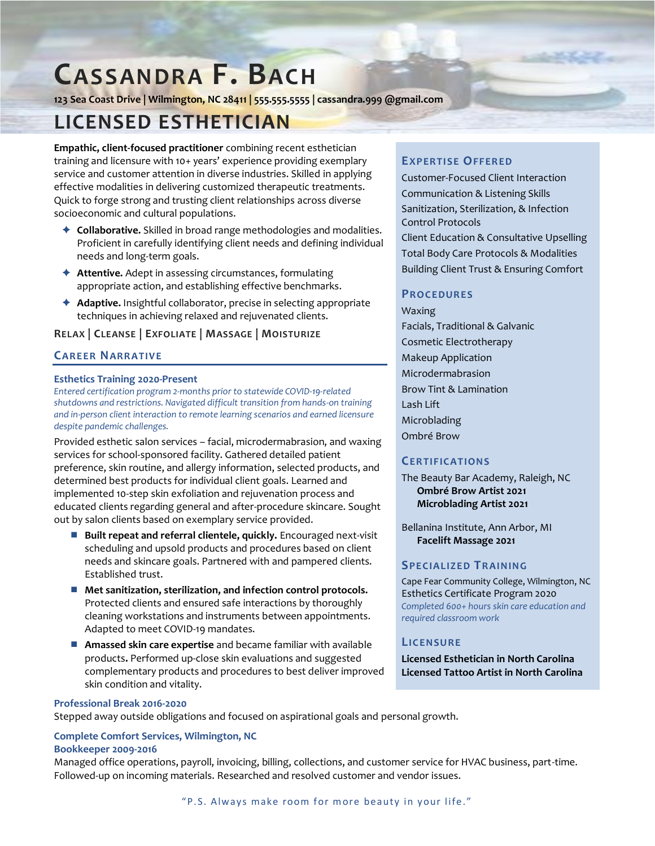# **CASSANDRA F. BACH**

**123 Sea Coast Drive | Wilmington, NC 28411 | 555.555.5555 | cassandra.999 @gmail.com**

# **LICENSED ESTHETICIAN**

**Empathic, client-focused practitioner** combining recent esthetician training and licensure with 10+ years' experience providing exemplary service and customer attention in diverse industries. Skilled in applying effective modalities in delivering customized therapeutic treatments. Quick to forge strong and trusting client relationships across diverse socioeconomic and cultural populations.

- **Collaborative.** Skilled in broad range methodologies and modalities. Proficient in carefully identifying client needs and defining individual needs and long-term goals.
- ◆ **Attentive.** Adept in assessing circumstances, formulating appropriate action, and establishing effective benchmarks.
- **Adaptive.** Insightful collaborator, precise in selecting appropriate techniques in achieving relaxed and rejuvenated clients.

### **RELAX | CLEANSE | EXFOLIATE | MASSAGE | MOISTURIZE**

# **CAR EER NARR ATIV E**

#### **Esthetics Training 2020-Present**

*Entered certification program 2-months prior to statewide COVID-19-related shutdowns and restrictions. Navigated difficult transition from hands-on training and in-person client interaction to remote learning scenarios and earned licensure despite pandemic challenges.*

Provided esthetic salon services – facial, microdermabrasion, and waxing services for school-sponsored facility. Gathered detailed patient preference, skin routine, and allergy information, selected products, and determined best products for individual client goals. Learned and implemented 10-step skin exfoliation and rejuvenation process and educated clients regarding general and after-procedure skincare. Sought out by salon clients based on exemplary service provided.

- **Built repeat and referral clientele, quickly.** Encouraged next-visit scheduling and upsold products and procedures based on client needs and skincare goals. Partnered with and pampered clients. Established trust.
- Met sanitization, sterilization, and infection control protocols. Protected clients and ensured safe interactions by thoroughly cleaning workstations and instruments between appointments. Adapted to meet COVID-19 mandates.
- **Amassed skin care expertise** and became familiar with available products**.** Performed up-close skin evaluations and suggested complementary products and procedures to best deliver improved skin condition and vitality.

#### **Professional Break 2016-2020**

Stepped away outside obligations and focused on aspirational goals and personal growth.

#### **Complete Comfort Services, Wilmington, NC**

#### **Bookkeeper 2009-2016**

Managed office operations, payroll, invoicing, billing, collections, and customer service for HVAC business, part-time. Followed-up on incoming materials. Researched and resolved customer and vendor issues.

#### **EXP ER TISE OFF ER ED**

Customer-Focused Client Interaction Communication & Listening Skills Sanitization, Sterilization, & Infection Control Protocols Client Education & Consultative Upselling Total Body Care Protocols & Modalities Building Client Trust & Ensuring Comfort

# **PR OC EDUR ES**

Waxing Facials, Traditional & Galvanic Cosmetic Electrotherapy Makeup Application Microdermabrasion Brow Tint & Lamination Lash Lift Microblading Ombré Brow

#### **CER TIF IC ATIONS**

The Beauty Bar Academy, Raleigh, NC **Ombré Brow Artist 2021 Microblading Artist 2021**

Bellanina Institute, Ann Arbor, MI **Facelift Massage 2021**

#### **SP EC IALIZ ED TR AINING**

Cape Fear Community College, Wilmington, NC Esthetics Certificate Program 2020 *Completed 600+ hours skin care education and required classroom work*

#### **LIC ENSU R E**

**Licensed Esthetician in North Carolina Licensed Tattoo Artist in North Carolina**